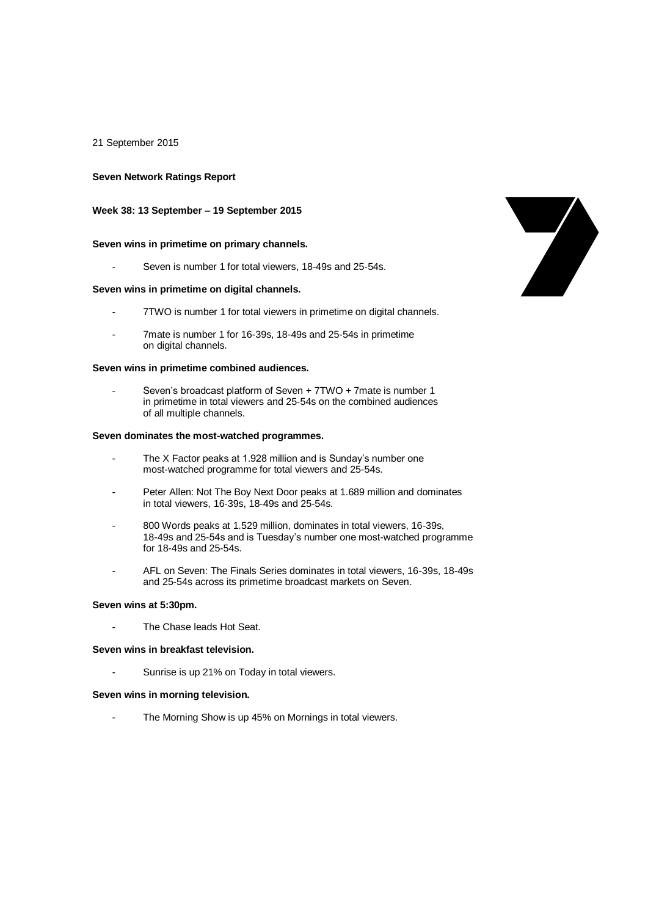21 September 2015

### **Seven Network Ratings Report**

### **Week 38: 13 September – 19 September 2015**

### **Seven wins in primetime on primary channels.**

Seven is number 1 for total viewers, 18-49s and 25-54s.

#### **Seven wins in primetime on digital channels.**

- 7TWO is number 1 for total viewers in primetime on digital channels.
- 7mate is number 1 for 16-39s, 18-49s and 25-54s in primetime on digital channels.

#### **Seven wins in primetime combined audiences.**

Seven's broadcast platform of Seven + 7TWO + 7mate is number 1 in primetime in total viewers and 25-54s on the combined audiences of all multiple channels.

## **Seven dominates the most-watched programmes.**

- The X Factor peaks at 1.928 million and is Sunday's number one most-watched programme for total viewers and 25-54s.
- Peter Allen: Not The Boy Next Door peaks at 1.689 million and dominates in total viewers, 16-39s, 18-49s and 25-54s.
- 800 Words peaks at 1.529 million, dominates in total viewers, 16-39s, 18-49s and 25-54s and is Tuesday's number one most-watched programme for 18-49s and 25-54s.
- AFL on Seven: The Finals Series dominates in total viewers, 16-39s, 18-49s and 25-54s across its primetime broadcast markets on Seven.

### **Seven wins at 5:30pm.**

The Chase leads Hot Seat.

#### **Seven wins in breakfast television.**

Sunrise is up 21% on Today in total viewers.

### **Seven wins in morning television.**

The Morning Show is up 45% on Mornings in total viewers.

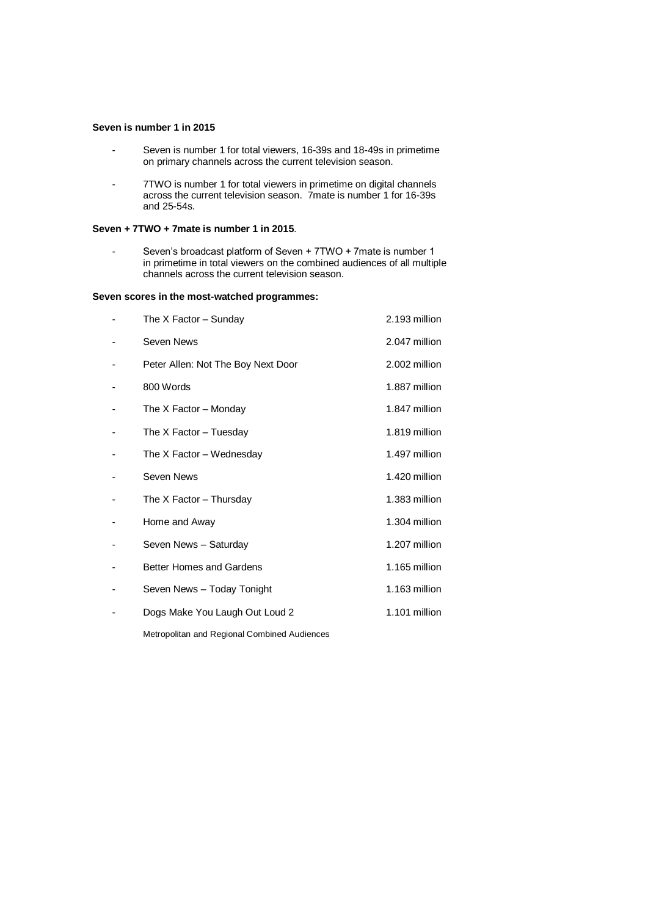## **Seven is number 1 in 2015**

- Seven is number 1 for total viewers, 16-39s and 18-49s in primetime on primary channels across the current television season.
- 7TWO is number 1 for total viewers in primetime on digital channels across the current television season. 7mate is number 1 for 16-39s and 25-54s.

## **Seven + 7TWO + 7mate is number 1 in 2015**.

- Seven's broadcast platform of Seven + 7TWO + 7mate is number 1 in primetime in total viewers on the combined audiences of all multiple channels across the current television season.

## **Seven scores in the most-watched programmes:**

| The $X$ Factor $-$ Sunday          | 2.193 million |
|------------------------------------|---------------|
| Seven News                         | 2.047 million |
| Peter Allen: Not The Boy Next Door | 2.002 million |
| 800 Words                          | 1.887 million |
| The X Factor - Monday              | 1.847 million |
| The X Factor – Tuesday             | 1.819 million |
| The X Factor – Wednesday           | 1.497 million |
| Seven News                         | 1.420 million |
| The X Factor - Thursday            | 1.383 million |
| Home and Away                      | 1.304 million |
| Seven News - Saturday              | 1.207 million |
| <b>Better Homes and Gardens</b>    | 1.165 million |
| Seven News - Today Tonight         | 1.163 million |
| Dogs Make You Laugh Out Loud 2     | 1.101 million |
|                                    |               |

Metropolitan and Regional Combined Audiences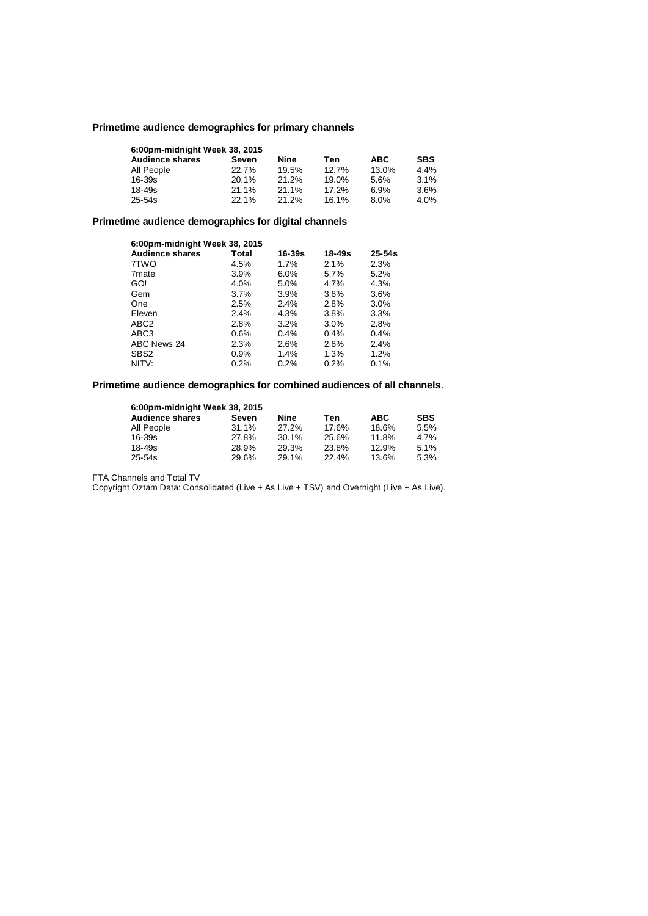## **Primetime audience demographics for primary channels**

| 6:00pm-midnight Week 38, 2015 |          |       |       |            |            |  |  |
|-------------------------------|----------|-------|-------|------------|------------|--|--|
| <b>Audience shares</b>        | Seven    | Nine  | Ten   | <b>ABC</b> | <b>SBS</b> |  |  |
| All People                    | 22.7%    | 19.5% | 12.7% | 13.0%      | 4.4%       |  |  |
| $16 - 39s$                    | $20.1\%$ | 21.2% | 19.0% | 5.6%       | 3.1%       |  |  |
| $18 - 49s$                    | 21.1%    | 21.1% | 17.2% | 6.9%       | 3.6%       |  |  |
| $25 - 54s$                    | 22.1%    | 21.2% | 16.1% | 8.0%       | 4.0%       |  |  |

# **Primetime audience demographics for digital channels**

| 6:00pm-midnight Week 38, 2015 |         |         |        |            |  |
|-------------------------------|---------|---------|--------|------------|--|
| <b>Audience shares</b>        | Total   | 16-39s  | 18-49s | $25 - 54s$ |  |
| 7TWO                          | 4.5%    | 1.7%    | 2.1%   | 2.3%       |  |
| 7 <sub>mate</sub>             | $3.9\%$ | $6.0\%$ | 5.7%   | 5.2%       |  |
| GO!                           | 4.0%    | 5.0%    | 4.7%   | 4.3%       |  |
| Gem                           | $3.7\%$ | 3.9%    | 3.6%   | 3.6%       |  |
| One                           | 2.5%    | 2.4%    | 2.8%   | $3.0\%$    |  |
| Eleven                        | 2.4%    | 4.3%    | 3.8%   | 3.3%       |  |
| ABC <sub>2</sub>              | 2.8%    | 3.2%    | 3.0%   | 2.8%       |  |
| ABC <sub>3</sub>              | $0.6\%$ | 0.4%    | 0.4%   | 0.4%       |  |
| ABC News 24                   | 2.3%    | 2.6%    | 2.6%   | 2.4%       |  |
| SBS <sub>2</sub>              | 0.9%    | 1.4%    | 1.3%   | 1.2%       |  |
| NITV:                         | 0.2%    | $0.2\%$ | 0.2%   | 0.1%       |  |

# **Primetime audience demographics for combined audiences of all channels**.

| 6:00pm-midnight Week 38, 2015 |          |       |       |            |            |  |  |
|-------------------------------|----------|-------|-------|------------|------------|--|--|
| <b>Audience shares</b>        | Seven    | Nine  | Ten   | <b>ABC</b> | <b>SBS</b> |  |  |
| All People                    | $31.1\%$ | 27.2% | 17.6% | 18.6%      | 5.5%       |  |  |
| 16-39s                        | 27.8%    | 30.1% | 25.6% | 11.8%      | 4.7%       |  |  |
| 18-49s                        | 28.9%    | 29.3% | 23.8% | 12.9%      | 5.1%       |  |  |
| $25 - 54s$                    | 29.6%    | 29.1% | 22.4% | 13.6%      | 5.3%       |  |  |

FTA Channels and Total TV

Copyright Oztam Data: Consolidated (Live + As Live + TSV) and Overnight (Live + As Live).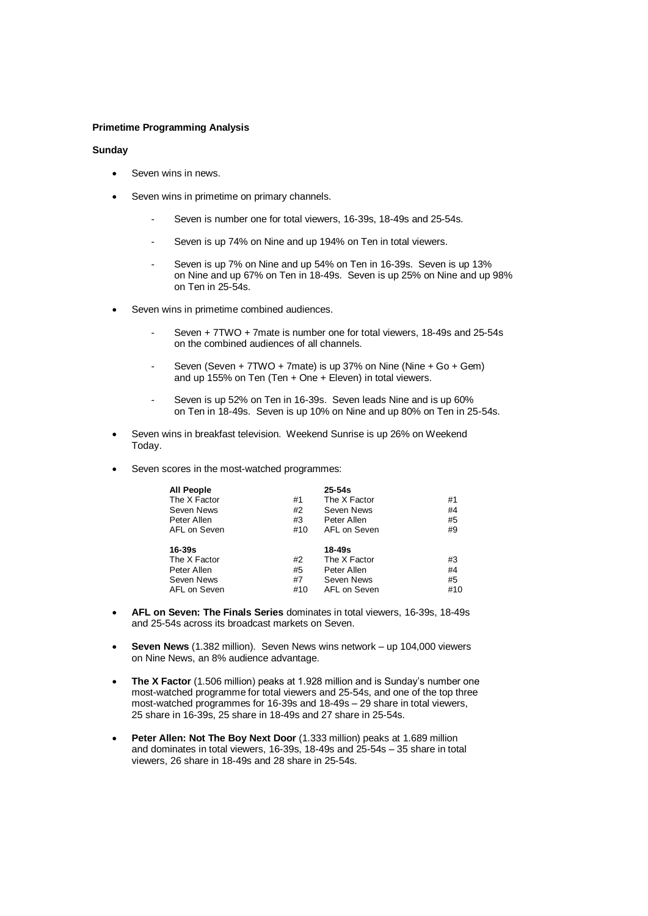## **Primetime Programming Analysis**

### **Sunday**

- Seven wins in news.
- Seven wins in primetime on primary channels.
	- Seven is number one for total viewers, 16-39s, 18-49s and 25-54s.
	- Seven is up 74% on Nine and up 194% on Ten in total viewers.
	- Seven is up 7% on Nine and up 54% on Ten in 16-39s. Seven is up 13% on Nine and up 67% on Ten in 18-49s. Seven is up 25% on Nine and up 98% on Ten in 25-54s.
- Seven wins in primetime combined audiences.
	- Seven + 7TWO + 7mate is number one for total viewers, 18-49s and 25-54s on the combined audiences of all channels.
	- Seven (Seven + 7TWO + 7mate) is up 37% on Nine (Nine + Go + Gem) and up 155% on Ten (Ten + One + Eleven) in total viewers.
	- Seven is up 52% on Ten in 16-39s. Seven leads Nine and is up 60% on Ten in 18-49s. Seven is up 10% on Nine and up 80% on Ten in 25-54s.
- Seven wins in breakfast television. Weekend Sunrise is up 26% on Weekend Today.
- Seven scores in the most-watched programmes:

| <b>All People</b> |     | $25 - 54s$   |     |
|-------------------|-----|--------------|-----|
| The X Factor      | #1  | The X Factor | #1  |
| Seven News        | #2  | Seven News   | #4  |
| Peter Allen       | #3  | Peter Allen  | #5  |
| AFL on Seven      | #10 | AFL on Seven | #9  |
| 16-39s            |     | 18-49s       |     |
| The X Factor      | #2  | The X Factor | #3  |
| Peter Allen       | #5  | Peter Allen  | #4  |
| Seven News        | #7  | Seven News   | #5  |
| AFL on Seven      | #10 | AFL on Seven | #10 |

- **AFL on Seven: The Finals Series** dominates in total viewers, 16-39s, 18-49s and 25-54s across its broadcast markets on Seven.
- **Seven News** (1.382 million). Seven News wins network up 104,000 viewers on Nine News, an 8% audience advantage.
- **The X Factor** (1.506 million) peaks at 1.928 million and is Sunday's number one most-watched programme for total viewers and 25-54s, and one of the top three most-watched programmes for 16-39s and 18-49s – 29 share in total viewers, 25 share in 16-39s, 25 share in 18-49s and 27 share in 25-54s.
- Peter Allen: Not The Boy Next Door (1.333 million) peaks at 1.689 million and dominates in total viewers, 16-39s, 18-49s and 25-54s – 35 share in total viewers, 26 share in 18-49s and 28 share in 25-54s.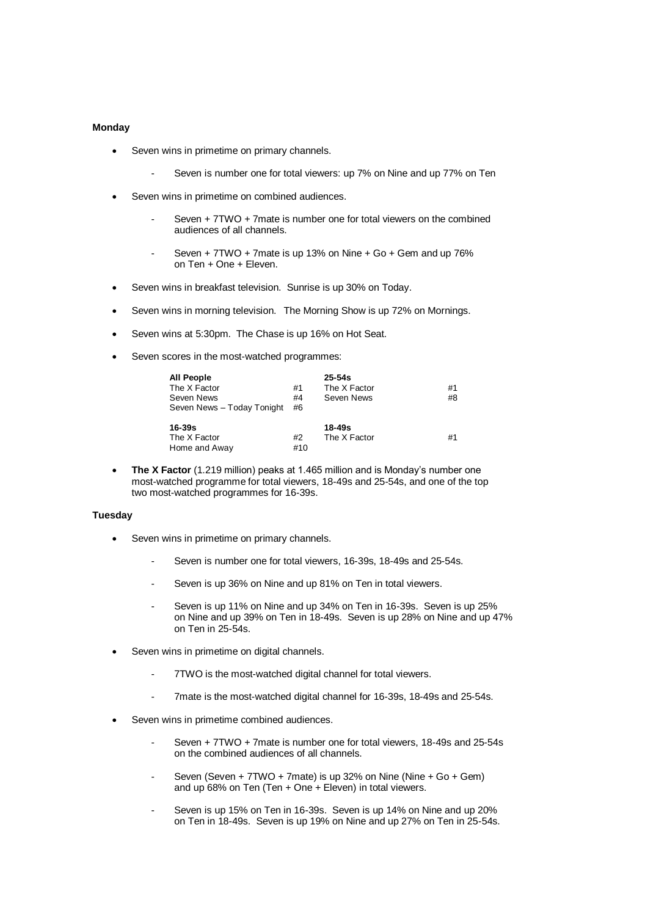## **Monday**

- Seven wins in primetime on primary channels.
	- Seven is number one for total viewers: up 7% on Nine and up 77% on Ten
- Seven wins in primetime on combined audiences.
	- Seven + 7TWO + 7mate is number one for total viewers on the combined audiences of all channels.
	- Seven + 7TWO + 7mate is up 13% on Nine + Go + Gem and up 76% on Ten + One + Eleven.
- Seven wins in breakfast television. Sunrise is up 30% on Today.
- Seven wins in morning television. The Morning Show is up 72% on Mornings.
- Seven wins at 5:30pm. The Chase is up 16% on Hot Seat.
- Seven scores in the most-watched programmes:

| <b>All People</b><br>The X Factor<br>Seven News<br>Seven News - Today Tonight | #1<br>#4<br>#6 | $25 - 54s$<br>The X Factor<br>Seven News | #1<br>#8 |
|-------------------------------------------------------------------------------|----------------|------------------------------------------|----------|
| 16-39s<br>The X Factor<br>Home and Away                                       | #2<br>#10      | 18-49s<br>The X Factor                   | #1       |

 **The X Factor** (1.219 million) peaks at 1.465 million and is Monday's number one most-watched programme for total viewers, 18-49s and 25-54s, and one of the top two most-watched programmes for 16-39s.

#### **Tuesday**

- Seven wins in primetime on primary channels.
	- Seven is number one for total viewers, 16-39s, 18-49s and 25-54s.
	- Seven is up 36% on Nine and up 81% on Ten in total viewers.
	- Seven is up 11% on Nine and up 34% on Ten in 16-39s. Seven is up 25% on Nine and up 39% on Ten in 18-49s. Seven is up 28% on Nine and up 47% on Ten in 25-54s.
- Seven wins in primetime on digital channels.
	- 7TWO is the most-watched digital channel for total viewers.
	- 7mate is the most-watched digital channel for 16-39s, 18-49s and 25-54s.
- Seven wins in primetime combined audiences.
	- Seven + 7TWO + 7mate is number one for total viewers, 18-49s and 25-54s on the combined audiences of all channels.
	- Seven (Seven + 7TWO + 7mate) is up 32% on Nine (Nine + Go + Gem) and up 68% on Ten (Ten + One + Eleven) in total viewers.
	- Seven is up 15% on Ten in 16-39s. Seven is up 14% on Nine and up 20% on Ten in 18-49s. Seven is up 19% on Nine and up 27% on Ten in 25-54s.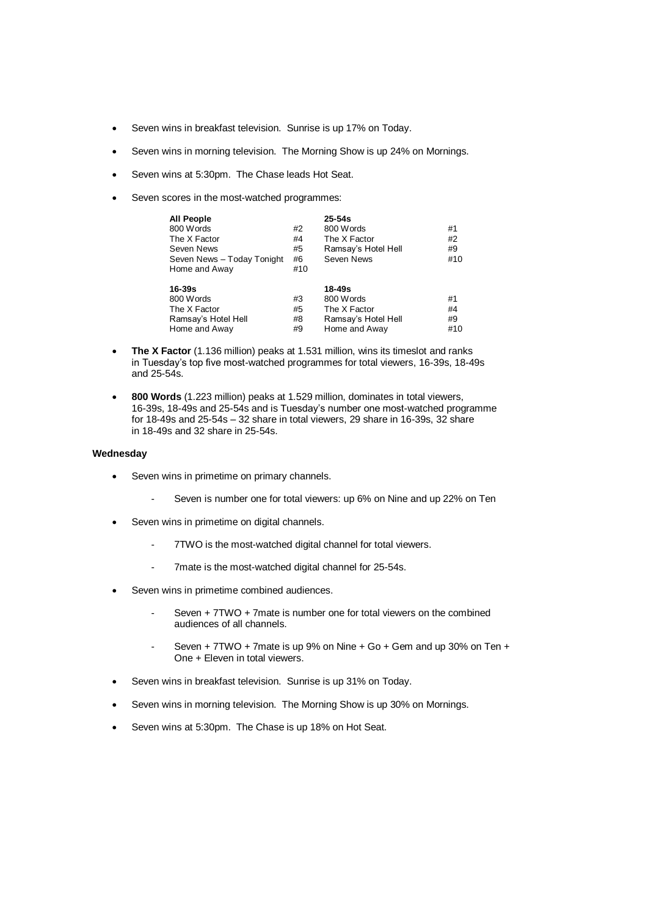- Seven wins in breakfast television. Sunrise is up 17% on Today.
- Seven wins in morning television. The Morning Show is up 24% on Mornings.
- Seven wins at 5:30pm. The Chase leads Hot Seat.
- Seven scores in the most-watched programmes:

| <b>All People</b><br>800 Words<br>The X Factor<br>Seven News<br>Seven News - Today Tonight<br>Home and Away | #2<br>#4<br>#5<br>#6<br>#10 | $25 - 54s$<br>800 Words<br>The X Factor<br>Ramsay's Hotel Hell<br>Seven News | #1<br>#2<br>#9<br>#10 |
|-------------------------------------------------------------------------------------------------------------|-----------------------------|------------------------------------------------------------------------------|-----------------------|
| 16-39s<br>800 Words<br>The X Factor<br>Ramsay's Hotel Hell<br>Home and Away                                 | #3<br>#5<br>#8<br>#9        | 18-49s<br>800 Words<br>The X Factor<br>Ramsay's Hotel Hell<br>Home and Away  | #1<br>#4<br>#9<br>#10 |

- **The X Factor** (1.136 million) peaks at 1.531 million, wins its timeslot and ranks in Tuesday's top five most-watched programmes for total viewers, 16-39s, 18-49s and 25-54s.
- **800 Words** (1.223 million) peaks at 1.529 million, dominates in total viewers, 16-39s, 18-49s and 25-54s and is Tuesday's number one most-watched programme for 18-49s and 25-54s – 32 share in total viewers, 29 share in 16-39s, 32 share in 18-49s and 32 share in 25-54s.

# **Wednesday**

- Seven wins in primetime on primary channels.
	- Seven is number one for total viewers: up 6% on Nine and up 22% on Ten
- Seven wins in primetime on digital channels.
	- 7TWO is the most-watched digital channel for total viewers.
	- 7mate is the most-watched digital channel for 25-54s.
- Seven wins in primetime combined audiences.
	- Seven + 7TWO + 7mate is number one for total viewers on the combined audiences of all channels.
	- Seven + 7TWO + 7mate is up 9% on Nine + Go + Gem and up 30% on Ten + One + Eleven in total viewers.
- Seven wins in breakfast television. Sunrise is up 31% on Today.
- Seven wins in morning television. The Morning Show is up 30% on Mornings.
- Seven wins at 5:30pm. The Chase is up 18% on Hot Seat.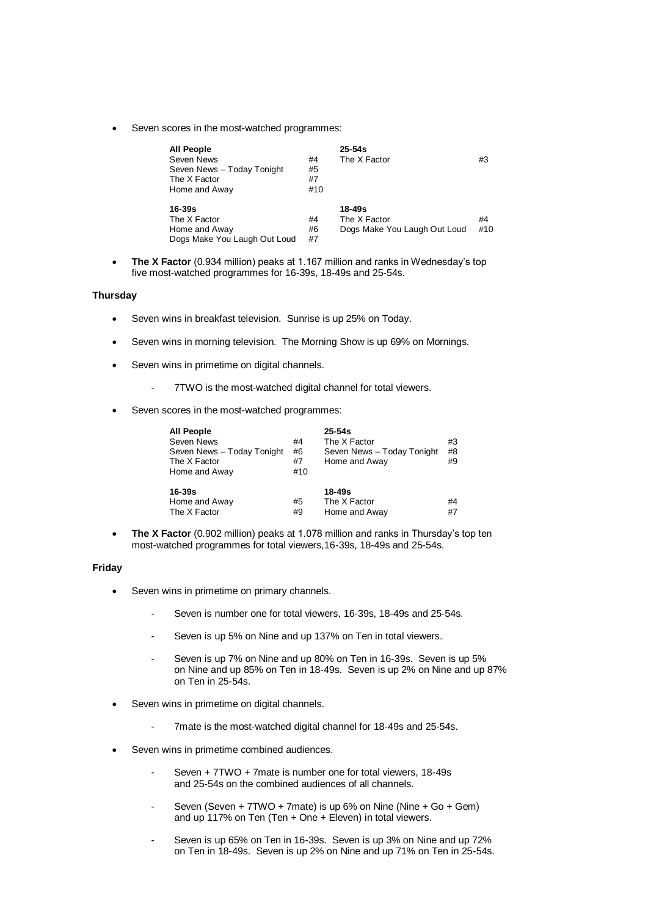Seven scores in the most-watched programmes:

| All People                   |     | $25 - 54s$                   |     |
|------------------------------|-----|------------------------------|-----|
| Seven News                   | #4  | The X Factor                 | #3  |
| Seven News - Today Tonight   | #5  |                              |     |
| The X Factor                 | #7  |                              |     |
| Home and Away                | #10 |                              |     |
| 16-39s                       |     | 18-49s                       |     |
| The X Factor                 | #4  | The X Factor                 | #4  |
| Home and Away                | #6  | Dogs Make You Laugh Out Loud | #10 |
| Dogs Make You Laugh Out Loud | #7  |                              |     |

 **The X Factor** (0.934 million) peaks at 1.167 million and ranks in Wednesday's top five most-watched programmes for 16-39s, 18-49s and 25-54s.

### **Thursday**

- Seven wins in breakfast television. Sunrise is up 25% on Today.
- Seven wins in morning television. The Morning Show is up 69% on Mornings.
- Seven wins in primetime on digital channels.
	- 7TWO is the most-watched digital channel for total viewers.
- Seven scores in the most-watched programmes:

| All People                 |     | $25 - 54s$                 |    |
|----------------------------|-----|----------------------------|----|
| Seven News                 | #4  | The X Factor               | #3 |
| Seven News - Today Tonight | #6  | Seven News - Today Tonight | #8 |
| The X Factor               | #7  | Home and Away              | #9 |
| Home and Away              | #10 |                            |    |
| 16-39s                     |     | $18 - 49s$                 |    |
| Home and Away              | #5  | The X Factor               | #4 |
| The X Factor               | #9  | Home and Away              | #7 |

 **The X Factor** (0.902 million) peaks at 1.078 million and ranks in Thursday's top ten most-watched programmes for total viewers,16-39s, 18-49s and 25-54s.

#### **Friday**

- Seven wins in primetime on primary channels.
	- Seven is number one for total viewers, 16-39s, 18-49s and 25-54s.
	- Seven is up 5% on Nine and up 137% on Ten in total viewers.
	- Seven is up 7% on Nine and up 80% on Ten in 16-39s. Seven is up 5% on Nine and up 85% on Ten in 18-49s. Seven is up 2% on Nine and up 87% on Ten in 25-54s.
- Seven wins in primetime on digital channels.
	- 7mate is the most-watched digital channel for 18-49s and 25-54s.
- Seven wins in primetime combined audiences.
	- Seven + 7TWO + 7mate is number one for total viewers, 18-49s and 25-54s on the combined audiences of all channels.
	- Seven (Seven + 7TWO + 7mate) is up 6% on Nine (Nine + Go + Gem) and up 117% on Ten (Ten + One + Eleven) in total viewers.
	- Seven is up 65% on Ten in 16-39s. Seven is up 3% on Nine and up 72% on Ten in 18-49s. Seven is up 2% on Nine and up 71% on Ten in 25-54s.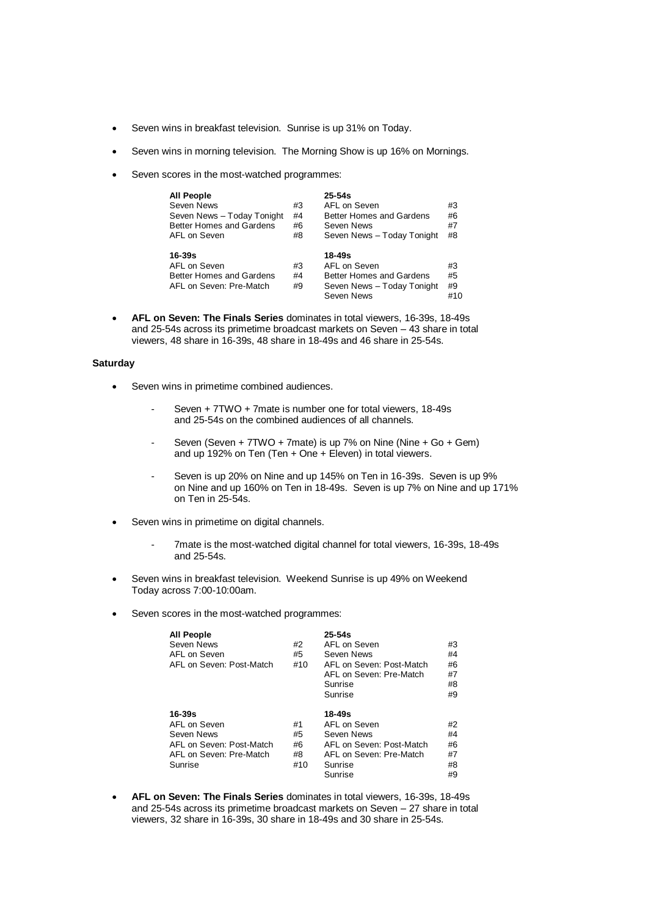- Seven wins in breakfast television. Sunrise is up 31% on Today.
- Seven wins in morning television. The Morning Show is up 16% on Mornings.
- Seven scores in the most-watched programmes:

| <b>All People</b><br>Seven News<br>Seven News - Today Tonight<br>Better Homes and Gardens<br>AFL on Seven | #3<br>#4<br>#6<br>#8 | $25 - 54s$<br>AFL on Seven<br>Better Homes and Gardens<br>Seven News<br>Seven News - Today Tonight | #3<br>#6<br>#7<br>#8  |
|-----------------------------------------------------------------------------------------------------------|----------------------|----------------------------------------------------------------------------------------------------|-----------------------|
| $16 - 39s$<br>AFL on Seven<br>Better Homes and Gardens<br>AFL on Seven: Pre-Match                         | #3<br>#4<br>#9       | 18-49s<br>AFL on Seven<br>Better Homes and Gardens<br>Seven News - Today Tonight<br>Seven News     | #3<br>#5<br>#9<br>#10 |

 **AFL on Seven: The Finals Series** dominates in total viewers, 16-39s, 18-49s and 25-54s across its primetime broadcast markets on Seven – 43 share in total viewers, 48 share in 16-39s, 48 share in 18-49s and 46 share in 25-54s.

## **Saturday**

- Seven wins in primetime combined audiences.
	- Seven + 7TWO + 7mate is number one for total viewers, 18-49s and 25-54s on the combined audiences of all channels.
	- Seven (Seven + 7TWO + 7mate) is up 7% on Nine (Nine + Go + Gem) and up 192% on Ten (Ten + One + Eleven) in total viewers.
	- Seven is up 20% on Nine and up 145% on Ten in 16-39s. Seven is up 9% on Nine and up 160% on Ten in 18-49s. Seven is up 7% on Nine and up 171% on Ten in 25-54s.
- Seven wins in primetime on digital channels.
	- 7mate is the most-watched digital channel for total viewers, 16-39s, 18-49s and 25-54s.
- Seven wins in breakfast television. Weekend Sunrise is up 49% on Weekend Today across 7:00-10:00am.
- Seven scores in the most-watched programmes:

| <b>All People</b><br>Seven News<br>AFL on Seven<br>AFL on Seven: Post-Match                                | #2<br>#5<br>#10             | $25 - 54s$<br>AFL on Seven<br>Seven News<br>AFL on Seven: Post-Match<br>AFL on Seven: Pre-Match<br>Sunrise<br>Sunrise | #3<br>#4<br>#6<br>#7<br>#8<br>#9 |
|------------------------------------------------------------------------------------------------------------|-----------------------------|-----------------------------------------------------------------------------------------------------------------------|----------------------------------|
| $16 - 39s$<br>AFL on Seven<br>Seven News<br>AFL on Seven: Post-Match<br>AFL on Seven: Pre-Match<br>Sunrise | #1<br>#5<br>#6<br>#8<br>#10 | 18-49s<br>AFL on Seven<br>Seven News<br>AFL on Seven: Post-Match<br>AFL on Seven: Pre-Match<br>Sunrise<br>Sunrise     | #2<br>#4<br>#6<br>#7<br>#8<br>#9 |

 **AFL on Seven: The Finals Series** dominates in total viewers, 16-39s, 18-49s and 25-54s across its primetime broadcast markets on Seven – 27 share in total viewers, 32 share in 16-39s, 30 share in 18-49s and 30 share in 25-54s.